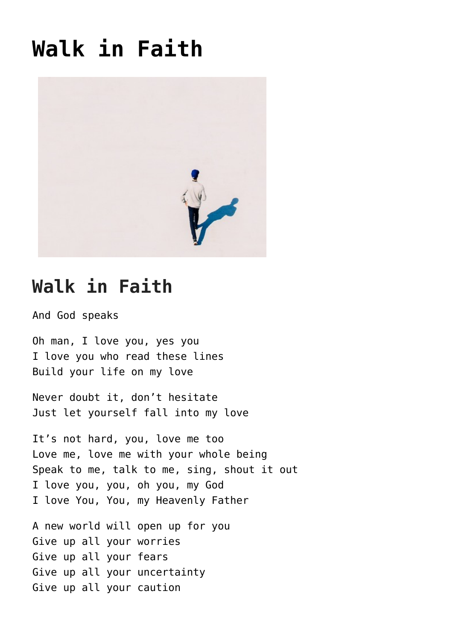## **[Walk in Faith](https://mysticoflove.com/walk-in-faith/)**



## **Walk in Faith**

And God speaks

Oh man, I love you, yes you I love you who read these lines Build your life on my love

Never doubt it, don't hesitate Just let yourself fall into my love

It's not hard, you, love me too Love me, love me with your whole being Speak to me, talk to me, sing, shout it out I love you, you, oh you, my God I love You, You, my Heavenly Father

A new world will open up for you Give up all your worries Give up all your fears Give up all your uncertainty Give up all your caution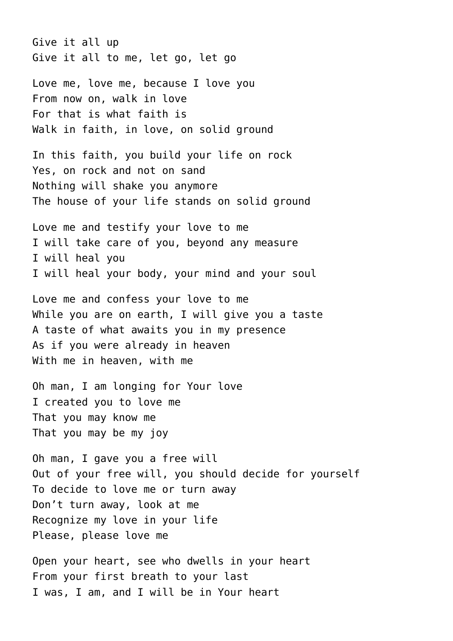Give it all up Give it all to me, let go, let go

Love me, love me, because I love you From now on, walk in love For that is what faith is Walk in faith, in love, on solid ground

In this faith, you build your life on rock Yes, on rock and not on sand Nothing will shake you anymore The house of your life stands on solid ground

Love me and testify your love to me I will take care of you, beyond any measure I will heal you I will heal your body, your mind and your soul

Love me and confess your love to me While you are on earth, I will give you a taste A taste of what awaits you in my presence As if you were already in heaven With me in heaven, with me

Oh man, I am longing for Your love I created you to love me That you may know me That you may be my joy

Oh man, I gave you a free will Out of your free will, you should decide for yourself To decide to love me or turn away Don't turn away, look at me Recognize my love in your life Please, please love me

Open your heart, see who dwells in your heart From your first breath to your last I was, I am, and I will be in Your heart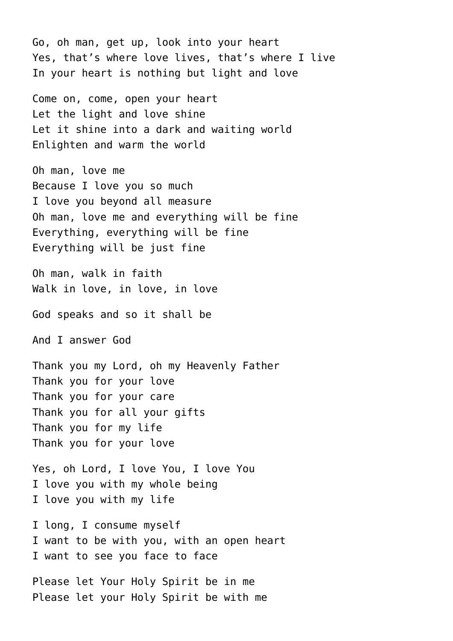Go, oh man, get up, look into your heart Yes, that's where love lives, that's where I live In your heart is nothing but light and love

Come on, come, open your heart Let the light and love shine Let it shine into a dark and waiting world Enlighten and warm the world

Oh man, love me Because I love you so much I love you beyond all measure Oh man, love me and everything will be fine Everything, everything will be fine Everything will be just fine

Oh man, walk in faith Walk in love, in love, in love

God speaks and so it shall be

And I answer God

Thank you my Lord, oh my Heavenly Father Thank you for your love Thank you for your care Thank you for all your gifts Thank you for my life Thank you for your love

Yes, oh Lord, I love You, I love You I love you with my whole being I love you with my life

I long, I consume myself I want to be with you, with an open heart I want to see you face to face

Please let Your Holy Spirit be in me Please let your Holy Spirit be with me